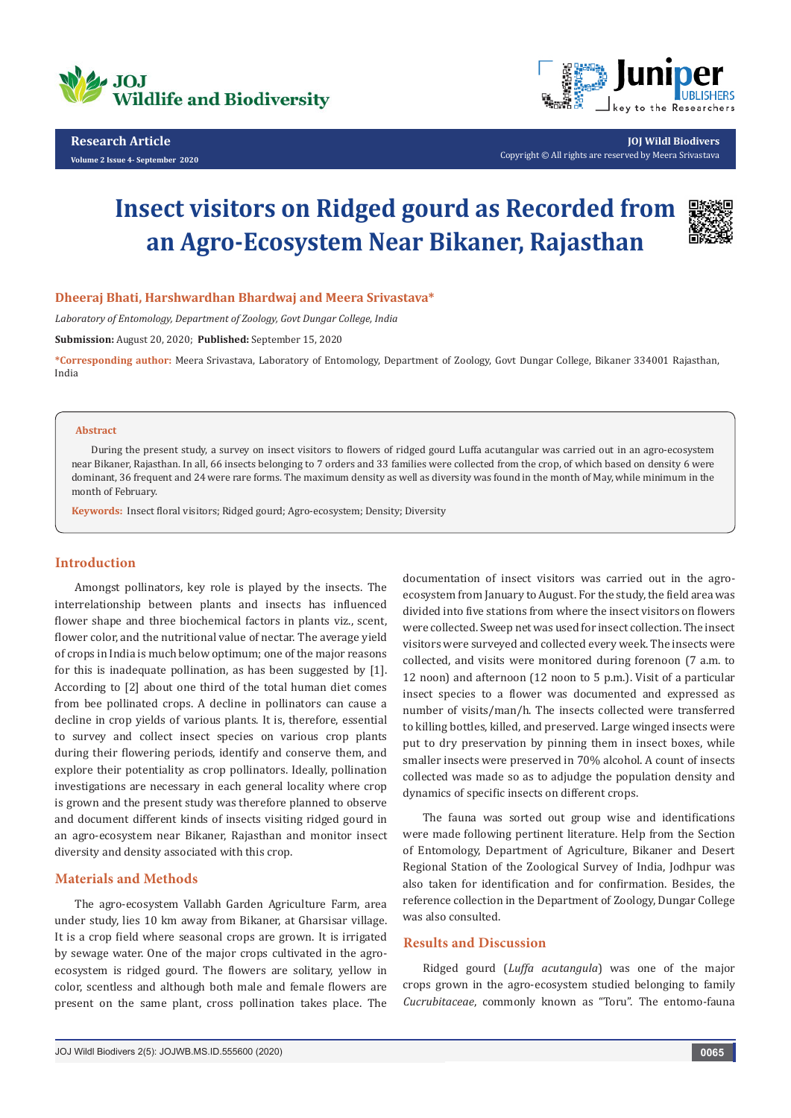



**JOJ Wildl Biodivers** Copyright © All rights are reserved by Meera Srivastava

# **Insect visitors on Ridged gourd as Recorded from an Agro-Ecosystem Near Bikaner, Rajasthan**



#### **Dheeraj Bhati, Harshwardhan Bhardwaj and Meera Srivastava\***

*Laboratory of Entomology, Department of Zoology, Govt Dungar College, India*

**Submission:** August 20, 2020; **Published:** September 15, 2020

**\*Corresponding author:** Meera Srivastava, Laboratory of Entomology, Department of Zoology, Govt Dungar College, Bikaner 334001 Rajasthan, India

#### **Abstract**

During the present study, a survey on insect visitors to flowers of ridged gourd Luffa acutangular was carried out in an agro-ecosystem near Bikaner, Rajasthan. In all, 66 insects belonging to 7 orders and 33 families were collected from the crop, of which based on density 6 were dominant, 36 frequent and 24 were rare forms. The maximum density as well as diversity was found in the month of May, while minimum in the month of February.

**Keywords:** Insect floral visitors; Ridged gourd; Agro-ecosystem; Density; Diversity

## **Introduction**

Amongst pollinators, key role is played by the insects. The interrelationship between plants and insects has influenced flower shape and three biochemical factors in plants viz., scent, flower color, and the nutritional value of nectar. The average yield of crops in India is much below optimum; one of the major reasons for this is inadequate pollination, as has been suggested by [1]. According to [2] about one third of the total human diet comes from bee pollinated crops. A decline in pollinators can cause a decline in crop yields of various plants. It is, therefore, essential to survey and collect insect species on various crop plants during their flowering periods, identify and conserve them, and explore their potentiality as crop pollinators. Ideally, pollination investigations are necessary in each general locality where crop is grown and the present study was therefore planned to observe and document different kinds of insects visiting ridged gourd in an agro-ecosystem near Bikaner, Rajasthan and monitor insect diversity and density associated with this crop.

#### **Materials and Methods**

The agro-ecosystem Vallabh Garden Agriculture Farm, area under study, lies 10 km away from Bikaner, at Gharsisar village. It is a crop field where seasonal crops are grown. It is irrigated by sewage water. One of the major crops cultivated in the agroecosystem is ridged gourd. The flowers are solitary, yellow in color, scentless and although both male and female flowers are present on the same plant, cross pollination takes place. The

documentation of insect visitors was carried out in the agroecosystem from January to August. For the study, the field area was divided into five stations from where the insect visitors on flowers were collected. Sweep net was used for insect collection. The insect visitors were surveyed and collected every week. The insects were collected, and visits were monitored during forenoon (7 a.m. to 12 noon) and afternoon (12 noon to 5 p.m.). Visit of a particular insect species to a flower was documented and expressed as number of visits/man/h. The insects collected were transferred to killing bottles, killed, and preserved. Large winged insects were put to dry preservation by pinning them in insect boxes, while smaller insects were preserved in 70% alcohol. A count of insects collected was made so as to adjudge the population density and dynamics of specific insects on different crops.

The fauna was sorted out group wise and identifications were made following pertinent literature. Help from the Section of Entomology, Department of Agriculture, Bikaner and Desert Regional Station of the Zoological Survey of India, Jodhpur was also taken for identification and for confirmation. Besides, the reference collection in the Department of Zoology, Dungar College was also consulted.

### **Results and Discussion**

Ridged gourd (*Luffa acutangula*) was one of the major crops grown in the agro-ecosystem studied belonging to family *Cucrubitaceae*, commonly known as "Toru". The entomo-fauna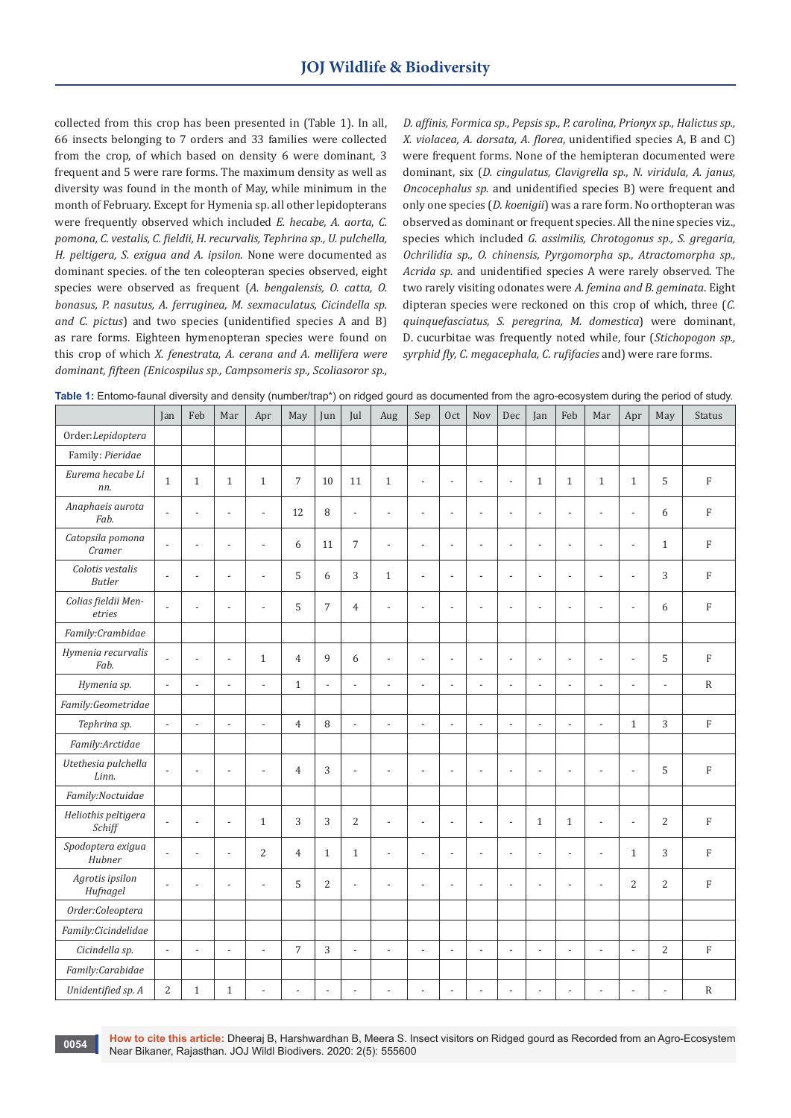collected from this crop has been presented in (Table 1). In all, 66 insects belonging to 7 orders and 33 families were collected from the crop, of which based on density 6 were dominant, 3 frequent and 5 were rare forms. The maximum density as well as diversity was found in the month of May, while minimum in the month of February. Except for Hymenia sp. all other lepidopterans were frequently observed which included *E. hecabe, A. aorta*, *C. pomona, C. vestalis, C. fieldii, H. recurvalis, Tephrina sp., U. pulchella, H. peltigera, S. exigua and A. ipsilon*. None were documented as dominant species. of the ten coleopteran species observed, eight species were observed as frequent (*A. bengalensis, O. catta, O. bonasus, P. nasutus, A. ferruginea, M. sexmaculatus, Cicindella sp. and C. pictus*) and two species (unidentified species A and B) as rare forms. Eighteen hymenopteran species were found on this crop of which *X. fenestrata, A. cerana and A. mellifera were dominant, fifteen (Enicospilus sp., Campsomeris sp., Scoliasoror sp.,* 

*D. affinis, Formica sp., Pepsis sp., P. carolina, Prionyx sp., Halictus sp., X. violacea, A. dorsata, A. florea*, unidentified species A, B and C) were frequent forms. None of the hemipteran documented were dominant, six (*D. cingulatus, Clavigrella sp., N. viridula, A. janus, Oncocephalus sp.* and unidentified species B) were frequent and only one species (*D. koenigii*) was a rare form. No orthopteran was observed as dominant or frequent species. All the nine species viz., species which included *G. assimilis, Chrotogonus sp., S. gregaria, Ochrilidia sp., O. chinensis, Pyrgomorpha sp., Atractomorpha sp., Acrida sp.* and unidentified species A were rarely observed. The two rarely visiting odonates were *A. femina and B. geminata*. Eight dipteran species were reckoned on this crop of which, three (*C. quinquefasciatus, S. peregrina, M. domestica*) were dominant, D. cucurbitae was frequently noted while, four (*Stichopogon sp., syrphid fly, C. megacephala, C. rufifacies* and) were rare forms.

| Table 1: Entomo-faunal diversity and density (number/trap*) on ridged gourd as documented from the agro-ecosystem during the period of study. |  |  |  |
|-----------------------------------------------------------------------------------------------------------------------------------------------|--|--|--|
|-----------------------------------------------------------------------------------------------------------------------------------------------|--|--|--|

|                                   | Jan                      | Feb                      | Mar            | Apr                      | May                      | Jun                      | Jul                      | Aug                      | Sep                      | Oct                      | Nov                      | Dec                      | Jan                      | Feb                      | Mar                      | Apr                      | May                      | <b>Status</b>  |
|-----------------------------------|--------------------------|--------------------------|----------------|--------------------------|--------------------------|--------------------------|--------------------------|--------------------------|--------------------------|--------------------------|--------------------------|--------------------------|--------------------------|--------------------------|--------------------------|--------------------------|--------------------------|----------------|
| Order:Lepidoptera                 |                          |                          |                |                          |                          |                          |                          |                          |                          |                          |                          |                          |                          |                          |                          |                          |                          |                |
| Family: Pieridae                  |                          |                          |                |                          |                          |                          |                          |                          |                          |                          |                          |                          |                          |                          |                          |                          |                          |                |
| Eurema hecabe Li<br>nn.           | $\mathbf{1}$             | $\mathbf{1}$             | $\mathbf{1}$   | $\mathbf{1}$             | $\overline{7}$           | 10                       | $11\,$                   | $1\,$                    | $\overline{a}$           | $\overline{a}$           | $\overline{a}$           | $\overline{a}$           | $\mathbf{1}$             | $\mathbf{1}$             | $\mathbf{1}$             | $1\,$                    | 5                        | $\rm F$        |
| Anaphaeis aurota<br>Fab.          | $\overline{\phantom{a}}$ | ÷,                       | $\overline{a}$ | $\frac{1}{2}$            | 12                       | 8                        | $\blacksquare$           | $\overline{a}$           | $\overline{a}$           | $\overline{\phantom{a}}$ | $\overline{a}$           | $\overline{\phantom{a}}$ | $\overline{\phantom{a}}$ | $\overline{\phantom{a}}$ | $\frac{1}{2}$            | $\overline{\phantom{a}}$ | 6                        | $\rm F$        |
| Catopsila pomona<br>Cramer        | $\overline{a}$           | L,                       | $\overline{a}$ | $\overline{a}$           | 6                        | 11                       | 7                        | $\overline{a}$           | $\overline{a}$           | $\overline{a}$           | $\overline{a}$           | $\overline{\phantom{a}}$ | $\overline{a}$           | $\overline{\phantom{a}}$ | $\overline{a}$           | $\overline{\phantom{a}}$ | $\mathbf{1}$             | $\mathbf F$    |
| Colotis vestalis<br><b>Butler</b> | $\blacksquare$           | ÷,                       | $\overline{a}$ | $\overline{a}$           | 5                        | 6                        | 3                        | $\mathbf{1}$             | $\overline{\phantom{a}}$ | $\overline{\phantom{a}}$ | $\overline{a}$           | $\overline{\phantom{a}}$ | $\overline{a}$           | $\overline{\phantom{a}}$ | $\overline{\phantom{a}}$ | $\overline{\phantom{a}}$ | 3                        | $\rm F$        |
| Colias fieldii Men-<br>etries     | $\overline{a}$           | ÷,                       |                | $\overline{a}$           | 5                        | $\overline{7}$           | 4                        | $\overline{a}$           | $\overline{a}$           | $\overline{a}$           | $\overline{a}$           | $\overline{a}$           | $\overline{a}$           | $\overline{\phantom{a}}$ | $\overline{a}$           | $\overline{a}$           | 6                        | $\rm F$        |
| Family:Crambidae                  |                          |                          |                |                          |                          |                          |                          |                          |                          |                          |                          |                          |                          |                          |                          |                          |                          |                |
| Hymenia recurvalis<br>Fab.        | $\overline{\phantom{a}}$ | $\overline{a}$           | $\overline{a}$ | $\mathbf{1}$             | $\overline{4}$           | 9                        | 6                        | $\overline{a}$           | ÷                        | $\overline{a}$           | $\overline{a}$           | $\overline{\phantom{a}}$ | $\overline{a}$           | $\overline{\phantom{a}}$ | $\overline{a}$           | $\overline{a}$           | 5                        | $\rm F$        |
| Hymenia sp.                       | $\overline{\phantom{a}}$ | $\overline{a}$           | $\overline{a}$ | $\frac{1}{2}$            | $\mathbf{1}$             | $\overline{\phantom{a}}$ | $\overline{\phantom{a}}$ | $\overline{\phantom{a}}$ | $\overline{\phantom{a}}$ | $\overline{\phantom{a}}$ | $\blacksquare$           | $\overline{\phantom{a}}$ | $\overline{\phantom{a}}$ | $\overline{\phantom{a}}$ | $\overline{\phantom{a}}$ | $\overline{\phantom{a}}$ | $\overline{\phantom{a}}$ | $\mathbb{R}$   |
| Family:Geometridae                |                          |                          |                |                          |                          |                          |                          |                          |                          |                          |                          |                          |                          |                          |                          |                          |                          |                |
| Tephrina sp.                      | $\blacksquare$           | $\overline{\phantom{a}}$ | $\overline{a}$ | $\frac{1}{2}$            | $\overline{4}$           | 8                        | $\overline{\phantom{a}}$ | $\overline{\phantom{a}}$ | $\overline{a}$           | ÷,                       | $\overline{\phantom{a}}$ | $\overline{\phantom{a}}$ | ÷,                       | $\overline{\phantom{a}}$ | $\frac{1}{2}$            | $\mathbf{1}$             | 3                        | $\rm F$        |
| Family:Arctidae                   |                          |                          |                |                          |                          |                          |                          |                          |                          |                          |                          |                          |                          |                          |                          |                          |                          |                |
| Utethesia pulchella<br>Linn.      | $\overline{a}$           | $\overline{a}$           | L,             | $\overline{a}$           | $\overline{4}$           | 3                        | $\overline{a}$           | Ĭ.                       | L,                       | $\overline{a}$           | $\overline{a}$           | $\sim$                   | $\overline{a}$           | $\overline{a}$           | $\overline{a}$           | $\overline{a}$           | 5                        | $\overline{F}$ |
| Family:Noctuidae                  |                          |                          |                |                          |                          |                          |                          |                          |                          |                          |                          |                          |                          |                          |                          |                          |                          |                |
| Heliothis peltigera<br>Schiff     | $\overline{\phantom{a}}$ | $\overline{a}$           | $\overline{a}$ | $\mathbf{1}$             | 3                        | 3                        | 2                        | $\overline{a}$           | $\overline{a}$           | $\overline{a}$           | $\overline{\phantom{a}}$ | $\overline{\phantom{a}}$ | $\mathbf{1}$             | $\mathbf{1}$             | $\frac{1}{2}$            | $\frac{1}{2}$            | 2                        | $\rm F$        |
| Spodoptera exigua<br>Hubner       | $\overline{a}$           | $\overline{a}$           | $\overline{a}$ | $\overline{2}$           | $\overline{4}$           | $\mathbf{1}$             | $\mathbf{1}$             | $\overline{a}$           | $\overline{a}$           | $\overline{\phantom{a}}$ | $\overline{a}$           | $\overline{\phantom{a}}$ | $\overline{\phantom{a}}$ | $\overline{\phantom{a}}$ | $\overline{\phantom{a}}$ | $\mathbf{1}$             | 3                        | $\rm F$        |
| Agrotis ipsilon<br>Hufnagel       | $\overline{\phantom{a}}$ | $\overline{a}$           | L,             | $\overline{a}$           | 5                        | $\overline{2}$           | $\overline{a}$           | Ĭ.                       | $\overline{a}$           | $\overline{a}$           | $\overline{a}$           | $\overline{a}$           | $\overline{a}$           | $\overline{\phantom{a}}$ | $\overline{a}$           | $\overline{2}$           | $\overline{2}$           | $\mathbf{F}$   |
| Order:Coleoptera                  |                          |                          |                |                          |                          |                          |                          |                          |                          |                          |                          |                          |                          |                          |                          |                          |                          |                |
| Family:Cicindelidae               |                          |                          |                |                          |                          |                          |                          |                          |                          |                          |                          |                          |                          |                          |                          |                          |                          |                |
| Cicindella sp.                    | $\overline{\phantom{a}}$ | $\overline{a}$           | $\overline{a}$ | $\overline{\phantom{a}}$ | $\overline{7}$           | 3                        | $\overline{\phantom{a}}$ | $\overline{a}$           | $\overline{a}$           | $\overline{a}$           | $\overline{\phantom{a}}$ | $\overline{\phantom{a}}$ | $\overline{\phantom{a}}$ | $\overline{\phantom{a}}$ | $\overline{\phantom{a}}$ | $\overline{\phantom{a}}$ | 2                        | $\rm F$        |
| Family:Carabidae                  |                          |                          |                |                          |                          |                          |                          |                          |                          |                          |                          |                          |                          |                          |                          |                          |                          |                |
| Unidentified sp. A                | $\sqrt{2}$               | $\mathbf{1}$             | $\mathbf{1}$   | $\frac{1}{2}$            | $\overline{\phantom{a}}$ | $\overline{\phantom{a}}$ | $\overline{a}$           | $\overline{\phantom{a}}$ | $\overline{a}$           | $\overline{a}$           | ÷,                       | ÷,                       | $\overline{\phantom{a}}$ | $\overline{\phantom{a}}$ | $\overline{\phantom{a}}$ | $\overline{a}$           | $\overline{\phantom{a}}$ | ${\mathbf R}$  |

**How to cite this article:** Dheeraj B, Harshwardhan B, Meera S. Insect visitors on Ridged gourd as Recorded from an Agro-Ecosystem near Bikaner, Rajasthan. JoJ Wildl Biodivers. 2020: 2(5): 555600<br>Near Bikaner, Rajasthan. JOJ Wildl Biodivers. 2020: 2(5): 555600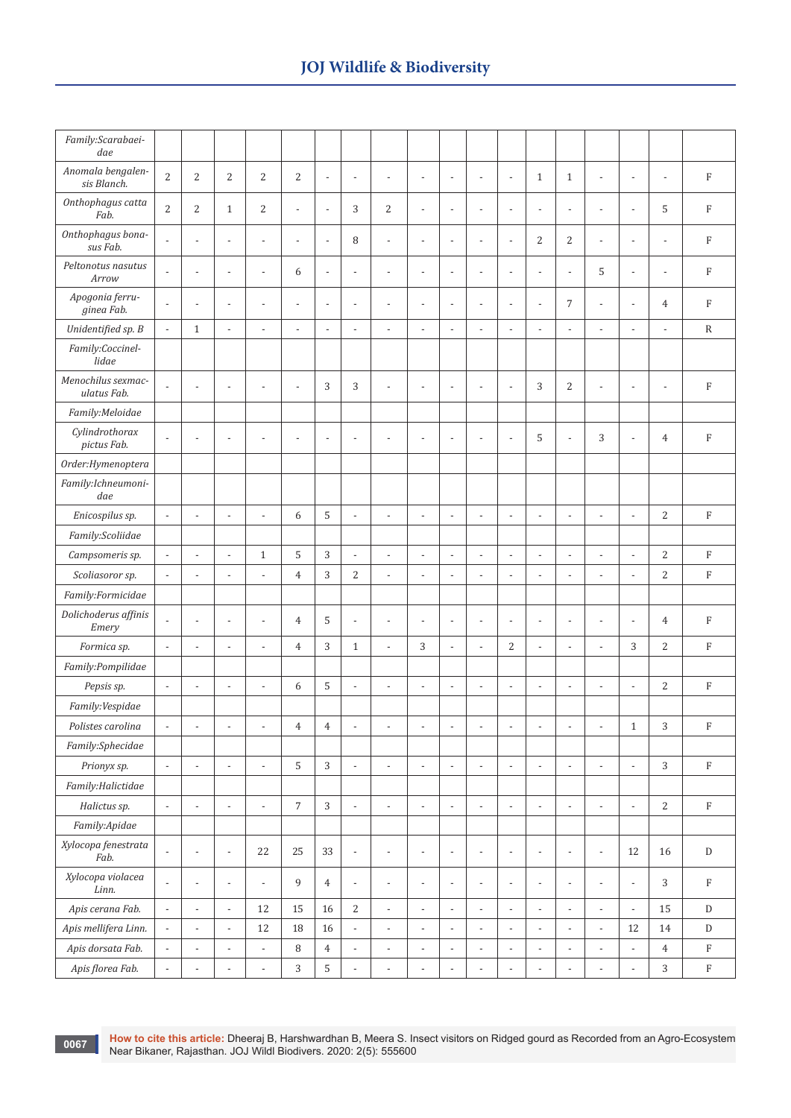| Family:Scarabaei-<br>dae          |                          |                          |                          |                          |                          |                          |                          |                          |                          |                          |                          |                          |                          |                          |                          |                          |                          |             |
|-----------------------------------|--------------------------|--------------------------|--------------------------|--------------------------|--------------------------|--------------------------|--------------------------|--------------------------|--------------------------|--------------------------|--------------------------|--------------------------|--------------------------|--------------------------|--------------------------|--------------------------|--------------------------|-------------|
| Anomala bengalen-<br>sis Blanch.  | $\overline{2}$           | 2                        | $\overline{2}$           | $\overline{2}$           | $\overline{2}$           | $\overline{\phantom{a}}$ | $\blacksquare$           | $\overline{\phantom{a}}$ | $\overline{\phantom{a}}$ | $\overline{\phantom{a}}$ | $\frac{1}{2}$            | $\overline{\phantom{a}}$ | $\mathbf{1}$             | $\mathbf{1}$             | $\overline{\phantom{a}}$ | $\overline{\phantom{a}}$ | $\overline{\phantom{a}}$ | $\mathbf F$ |
| Onthophagus catta<br>Fab.         | $\overline{2}$           | 2                        | $\mathbf{1}$             | 2                        | $\overline{\phantom{a}}$ | $\overline{\phantom{a}}$ | 3                        | $\overline{2}$           | $\overline{\phantom{a}}$ | $\overline{\phantom{a}}$ | $\overline{\phantom{a}}$ | $\overline{\phantom{a}}$ | $\overline{\phantom{a}}$ | $\overline{a}$           | $\blacksquare$           | $\overline{\phantom{a}}$ | 5                        | $\rm F$     |
| Onthophagus bona-<br>sus Fab.     | $\overline{\phantom{a}}$ | $\overline{\phantom{a}}$ | $\overline{a}$           | $\overline{\phantom{a}}$ | ÷,                       | $\overline{\phantom{a}}$ | 8                        | $\overline{\phantom{a}}$ | $\overline{\phantom{a}}$ | $\overline{\phantom{a}}$ | $\overline{\phantom{a}}$ | $\overline{\phantom{a}}$ | 2                        | $\overline{2}$           | $\blacksquare$           | $\overline{\phantom{a}}$ | $\overline{\phantom{a}}$ | $\rm F$     |
| Peltonotus nasutus<br>Arrow       | $\overline{a}$           | $\overline{\phantom{a}}$ | $\overline{a}$           | $\overline{\phantom{a}}$ | 6                        | $\overline{\phantom{a}}$ | $\overline{a}$           | $\overline{a}$           | $\overline{\phantom{a}}$ | $\overline{\phantom{a}}$ | $\overline{a}$           | $\overline{\phantom{a}}$ | $\overline{a}$           | $\overline{a}$           | 5                        | $\overline{a}$           | $\overline{\phantom{a}}$ | $\rm F$     |
| Apogonia ferru-<br>ginea Fab.     | $\overline{\phantom{a}}$ | $\overline{a}$           | $\overline{a}$           |                          | ÷,                       | $\overline{\phantom{a}}$ | $\overline{a}$           | $\overline{\phantom{a}}$ | $\overline{\phantom{a}}$ | ÷,                       | ÷,                       | $\overline{\phantom{a}}$ | $\overline{a}$           | $\overline{7}$           | $\overline{\phantom{a}}$ | $\overline{\phantom{a}}$ | $\overline{4}$           | ${\rm F}$   |
| Unidentified sp. B                | $\overline{\phantom{a}}$ | $\mathbf{1}$             | $\overline{a}$           | $\overline{\phantom{a}}$ | ÷,                       | $\overline{\phantom{a}}$ | $\overline{a}$           | $\overline{a}$           | $\overline{\phantom{a}}$ | $\overline{\phantom{a}}$ |                          | $\overline{\phantom{a}}$ | $\overline{a}$           | $\overline{\phantom{a}}$ | $\centerdot$             | $\overline{a}$           | $\overline{a}$           | $\mathbb R$ |
| Family:Coccinel-<br>lidae         |                          |                          |                          |                          |                          |                          |                          |                          |                          |                          |                          |                          |                          |                          |                          |                          |                          |             |
| Menochilus sexmac-<br>ulatus Fab. | $\overline{a}$           | $\overline{a}$           | $\overline{a}$           | $\overline{\phantom{a}}$ | $\overline{\phantom{a}}$ | 3                        | 3                        | $\overline{\phantom{a}}$ | $\overline{\phantom{a}}$ | $\overline{\phantom{a}}$ | $\overline{\phantom{a}}$ | $\overline{\phantom{a}}$ | 3                        | $\overline{2}$           | $\overline{\phantom{a}}$ | $\overline{a}$           | $\overline{\phantom{a}}$ | $\rm F$     |
| Family:Meloidae                   |                          |                          |                          |                          |                          |                          |                          |                          |                          |                          |                          |                          |                          |                          |                          |                          |                          |             |
| Cylindrothorax<br>pictus Fab.     | $\overline{\phantom{a}}$ | $\overline{\phantom{a}}$ | $\overline{a}$           | $\overline{\phantom{a}}$ | $\overline{a}$           | $\overline{a}$           | $\overline{\phantom{a}}$ | $\overline{\phantom{a}}$ | $\overline{\phantom{a}}$ | $\overline{\phantom{a}}$ | $\overline{\phantom{a}}$ | $\overline{\phantom{a}}$ | 5                        | $\overline{\phantom{a}}$ | 3                        | $\overline{a}$           | $\overline{4}$           | $\mathbf F$ |
| Order: Hymenoptera                |                          |                          |                          |                          |                          |                          |                          |                          |                          |                          |                          |                          |                          |                          |                          |                          |                          |             |
| Family:Ichneumoni-<br>dae         |                          |                          |                          |                          |                          |                          |                          |                          |                          |                          |                          |                          |                          |                          |                          |                          |                          |             |
| Enicospilus sp.                   | $\overline{\phantom{a}}$ | $\overline{\phantom{a}}$ | $\overline{a}$           | $\overline{\phantom{a}}$ | 6                        | 5                        | $\blacksquare$           | $\overline{\phantom{a}}$ | $\overline{\phantom{a}}$ | $\overline{\phantom{a}}$ | $\overline{\phantom{0}}$ | $\overline{\phantom{a}}$ | $\frac{1}{2}$            | $\overline{\phantom{a}}$ | $\overline{\phantom{a}}$ | $\overline{\phantom{a}}$ | 2                        | $\rm F$     |
| Family:Scoliidae                  |                          |                          |                          |                          |                          |                          |                          |                          |                          |                          |                          |                          |                          |                          |                          |                          |                          |             |
| Campsomeris sp.                   | $\overline{\phantom{a}}$ | $\overline{\phantom{a}}$ | $\overline{a}$           | $\mathbf{1}$             | 5                        | 3                        | $\overline{\phantom{a}}$ | $\overline{\phantom{a}}$ | $\overline{\phantom{a}}$ | $\overline{\phantom{a}}$ | $\overline{\phantom{0}}$ | $\overline{\phantom{a}}$ | $\overline{\phantom{a}}$ | $\overline{\phantom{a}}$ | $\blacksquare$           | $\overline{\phantom{a}}$ | 2                        | $\rm F$     |
| Scoliasoror sp.                   | $\overline{\phantom{a}}$ | $\overline{\phantom{a}}$ | $\overline{a}$           | $\overline{\phantom{a}}$ | $\overline{4}$           | 3                        | 2                        | $\overline{\phantom{a}}$ | $\overline{\phantom{a}}$ | $\overline{\phantom{a}}$ | $\overline{\phantom{a}}$ | $\overline{\phantom{a}}$ | $\overline{\phantom{a}}$ | $\overline{\phantom{a}}$ | $\overline{\phantom{a}}$ | $\overline{\phantom{a}}$ | 2                        | $\rm F$     |
| Family:Formicidae                 |                          |                          |                          |                          |                          |                          |                          |                          |                          |                          |                          |                          |                          |                          |                          |                          |                          |             |
| Dolichoderus affinis<br>Emery     | $\overline{a}$           | $\overline{\phantom{a}}$ | $\overline{a}$           | $\overline{\phantom{a}}$ | $\overline{4}$           | 5                        | $\overline{a}$           | $\overline{\phantom{a}}$ | $\overline{\phantom{a}}$ | $\overline{a}$           | $\overline{a}$           | $\overline{\phantom{a}}$ | $\overline{a}$           | $\overline{a}$           | $\overline{a}$           | $\overline{a}$           | $\overline{4}$           | $\mathbf F$ |
| Formica sp.                       | $\overline{\phantom{a}}$ | $\overline{\phantom{a}}$ | $\overline{\phantom{a}}$ | $\blacksquare$           | $\overline{4}$           | 3                        | $\mathbf{1}$             | $\overline{\phantom{a}}$ | 3                        | $\overline{a}$           | $\overline{a}$           | $\overline{2}$           | $\overline{a}$           | $\overline{a}$           | $\mathcal{L}$            | 3                        | 2                        | $\rm F$     |
| Family:Pompilidae                 |                          |                          |                          |                          |                          |                          |                          |                          |                          |                          |                          |                          |                          |                          |                          |                          |                          |             |
| Pepsis sp.                        | $\overline{\phantom{a}}$ | $\overline{\phantom{a}}$ | $\overline{a}$           | $\blacksquare$           | 6                        | 5                        | $\frac{1}{2}$            | $\overline{\phantom{a}}$ | $\overline{\phantom{a}}$ | $\overline{\phantom{a}}$ | $\overline{a}$           | $\overline{\phantom{a}}$ | $\overline{a}$           | $\frac{1}{2}$            | $\overline{\phantom{a}}$ | $\overline{\phantom{a}}$ | $\overline{2}$           | $\mathbf F$ |
| Family:Vespidae                   |                          |                          |                          |                          |                          |                          |                          |                          |                          |                          |                          |                          |                          |                          |                          |                          |                          |             |
| Polistes carolina                 |                          |                          |                          |                          | $\,4\,$                  | $\overline{4}$           |                          |                          |                          |                          |                          |                          |                          |                          |                          | $\mathbf 1$              | 3                        | $\mathbf F$ |
| Family:Sphecidae                  |                          |                          |                          |                          |                          |                          |                          |                          |                          |                          |                          |                          |                          |                          |                          |                          |                          |             |
| Prionyx sp.                       | $\overline{\phantom{a}}$ | $\overline{\phantom{a}}$ | $\overline{\phantom{a}}$ | $\overline{\phantom{a}}$ | 5                        | $\mathbf{3}$             | $\overline{\phantom{a}}$ | $\overline{\phantom{a}}$ | $\overline{\phantom{a}}$ | $\overline{a}$           | $\frac{1}{2}$            | $\overline{\phantom{a}}$ | $\overline{\phantom{a}}$ | $\overline{\phantom{a}}$ | $\Box$                   | $\overline{\phantom{a}}$ | $\mathbf{3}$             | $\rm F$     |
| Family: Halictidae                |                          |                          |                          |                          |                          |                          |                          |                          |                          |                          |                          |                          |                          |                          |                          |                          |                          |             |
| Halictus sp.                      | $\overline{\phantom{a}}$ | $\overline{\phantom{a}}$ | $\overline{\phantom{a}}$ | $\overline{\phantom{a}}$ | $\overline{7}$           | $\mathbf{3}$             | $\Box$                   | $\overline{\phantom{a}}$ | $\overline{\phantom{a}}$ | $\overline{a}$           | $\overline{\phantom{a}}$ | $\overline{\phantom{a}}$ | $\overline{\phantom{a}}$ | $\overline{\phantom{a}}$ | $\Box$                   | $\mathbb{L}$             | 2                        | $\mathbf F$ |
| Family:Apidae                     |                          |                          |                          |                          |                          |                          |                          |                          |                          |                          |                          |                          |                          |                          |                          |                          |                          |             |
| Xylocopa fenestrata<br>Fab.       | $\frac{1}{2}$            | $\overline{a}$           | $\overline{\phantom{a}}$ | 22                       | 25                       | 33                       | $\blacksquare$           | $\overline{\phantom{a}}$ | $\frac{1}{2}$            | $\overline{a}$           | $\overline{a}$           | $\blacksquare$           | $\blacksquare$           | $\frac{1}{2}$            | $\blacksquare$           | 12                       | 16                       | ${\rm D}$   |
| Xylocopa violacea<br>Linn.        | $\overline{\phantom{a}}$ | $\overline{\phantom{a}}$ | $\overline{a}$           | $\overline{\phantom{a}}$ | 9                        | $\overline{4}$           | $\overline{\phantom{a}}$ | $\overline{\phantom{a}}$ | $\overline{\phantom{a}}$ | $\overline{\phantom{a}}$ | $\overline{\phantom{a}}$ | $\blacksquare$           | $\blacksquare$           | $\overline{\phantom{a}}$ | $\blacksquare$           | $\overline{\phantom{a}}$ | 3                        | $_{\rm F}$  |
| Apis cerana Fab.                  | $\overline{\phantom{a}}$ | $\overline{\phantom{a}}$ | $\overline{\phantom{a}}$ | 12                       | 15                       | 16                       | 2                        | $\overline{\phantom{a}}$ | $\overline{\phantom{a}}$ | $\overline{\phantom{a}}$ | $\overline{\phantom{a}}$ | $\overline{\phantom{a}}$ | $\blacksquare$           | $\overline{\phantom{a}}$ | $\overline{\phantom{a}}$ | $\overline{\phantom{a}}$ | 15                       | ${\rm D}$   |
| Apis mellifera Linn.              | $\overline{\phantom{a}}$ | $\overline{\phantom{a}}$ | $\overline{a}$           | 12                       | 18                       | 16                       | $\overline{\phantom{a}}$ | $\overline{\phantom{a}}$ | $\overline{\phantom{a}}$ | $\overline{\phantom{a}}$ |                          | $\overline{\phantom{a}}$ | $\blacksquare$           | $\overline{\phantom{a}}$ | $\blacksquare$           | 12                       | 14                       | ${\rm D}$   |
| Apis dorsata Fab.                 | $\overline{\phantom{a}}$ | $\overline{\phantom{a}}$ | $\overline{\phantom{a}}$ | $\overline{\phantom{a}}$ | 8                        | $\overline{4}$           | $\blacksquare$           | $\overline{\phantom{a}}$ | $\overline{\phantom{a}}$ | $\overline{\phantom{a}}$ |                          | $\overline{\phantom{a}}$ | $\overline{\phantom{a}}$ | $\overline{\phantom{a}}$ | $\blacksquare$           | $\overline{\phantom{a}}$ | $\overline{4}$           | $\mathbf F$ |
| Apis florea Fab.                  | $\overline{\phantom{a}}$ | $\overline{\phantom{a}}$ | $\frac{1}{2}$            | $\overline{\phantom{a}}$ | 3                        | 5                        | $\overline{\phantom{0}}$ | ÷,                       | $\overline{a}$           |                          |                          |                          |                          | ÷                        | $\overline{\phantom{0}}$ | $\overline{a}$           | 3                        | $\mathbf F$ |

**0067**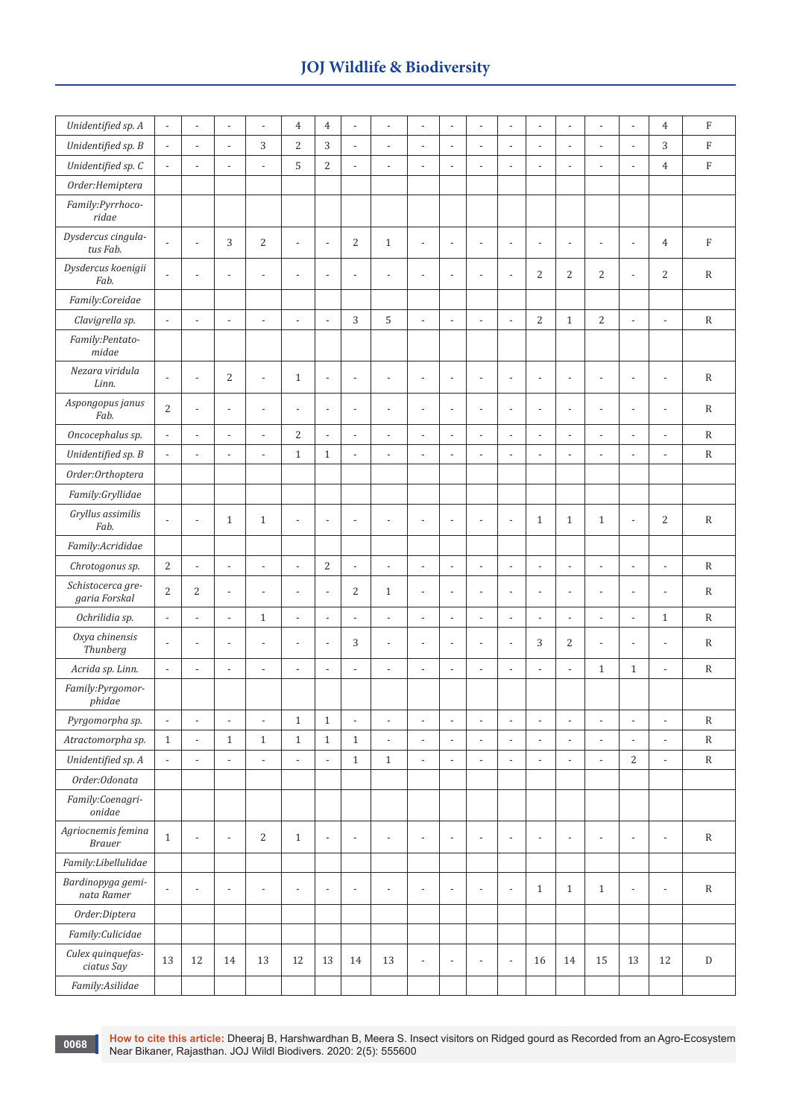| Unidentified sp. A                  | $\overline{\phantom{a}}$ | $\overline{a}$           | $\overline{\phantom{a}}$ | $\overline{a}$           | $\overline{4}$           | $\overline{4}$           | $\overline{a}$           | $\overline{a}$           | $\overline{a}$           | Ĭ.                       | $\overline{a}$           | $\overline{a}$           | $\overline{a}$           | $\overline{a}$           | $\frac{1}{2}$            | $\overline{a}$           | $\overline{4}$           | $\rm F$      |
|-------------------------------------|--------------------------|--------------------------|--------------------------|--------------------------|--------------------------|--------------------------|--------------------------|--------------------------|--------------------------|--------------------------|--------------------------|--------------------------|--------------------------|--------------------------|--------------------------|--------------------------|--------------------------|--------------|
| Unidentified sp. B                  | $\overline{\phantom{a}}$ | $\overline{a}$           | $\overline{\phantom{a}}$ | 3                        | $\overline{2}$           | 3                        | $\overline{a}$           | $\overline{a}$           | $\overline{a}$           | $\overline{a}$           | $\overline{a}$           | $\overline{a}$           | $\overline{a}$           | $\overline{a}$           | $\overline{a}$           | $\overline{a}$           | 3                        | $\rm F$      |
| Unidentified sp. C                  | $\overline{\phantom{a}}$ | $\overline{a}$           | $\overline{\phantom{a}}$ | $\overline{\phantom{a}}$ | 5                        | $\overline{c}$           | $\frac{1}{2}$            | $\overline{a}$           | $\overline{a}$           | $\overline{a}$           | $\overline{a}$           | $\overline{a}$           | $\overline{\phantom{a}}$ | $\overline{a}$           | $\frac{1}{2}$            | $\overline{a}$           | $\overline{4}$           | $\rm F$      |
| Order: Hemiptera                    |                          |                          |                          |                          |                          |                          |                          |                          |                          |                          |                          |                          |                          |                          |                          |                          |                          |              |
| Family:Pyrrhoco-<br>ridae           |                          |                          |                          |                          |                          |                          |                          |                          |                          |                          |                          |                          |                          |                          |                          |                          |                          |              |
| Dysdercus cingula-<br>tus Fab.      | $\bar{\phantom{a}}$      | $\overline{\phantom{a}}$ | 3                        | 2                        | $\overline{\phantom{a}}$ | $\overline{\phantom{a}}$ | 2                        | $\mathbf{1}$             | $\overline{\phantom{a}}$ | $\overline{\phantom{a}}$ | $\overline{\phantom{a}}$ | $\overline{\phantom{a}}$ | $\overline{\phantom{a}}$ | $\overline{\phantom{a}}$ | $\overline{\phantom{a}}$ | $\overline{a}$           | $\overline{4}$           | ${\rm F}$    |
| Dysdercus koenigii<br>Fab.          | $\overline{\phantom{a}}$ | $\overline{a}$           | $\overline{\phantom{a}}$ | $\overline{a}$           | $\overline{\phantom{a}}$ | $\overline{\phantom{a}}$ | $\overline{\phantom{a}}$ | $\overline{a}$           | $\overline{a}$           | ÷,                       | ÷,                       | $\overline{\phantom{a}}$ | 2                        | $\overline{c}$           | $\overline{c}$           | $\overline{a}$           | 2                        | $\mathbb{R}$ |
| Family:Coreidae                     |                          |                          |                          |                          |                          |                          |                          |                          |                          |                          |                          |                          |                          |                          |                          |                          |                          |              |
| Clavigrella sp.                     | $\overline{\phantom{a}}$ | $\overline{\phantom{a}}$ | $\overline{\phantom{a}}$ | $\overline{\phantom{a}}$ | $\overline{\phantom{a}}$ | $\overline{\phantom{a}}$ | 3                        | 5                        | $\overline{\phantom{a}}$ | $\overline{\phantom{a}}$ | $\overline{a}$           | $\overline{\phantom{a}}$ | $\overline{c}$           | $\mathbf{1}$             | $\overline{2}$           | $\overline{\phantom{a}}$ | $\overline{\phantom{a}}$ | $\mathbb{R}$ |
| Family:Pentato-<br>midae            |                          |                          |                          |                          |                          |                          |                          |                          |                          |                          |                          |                          |                          |                          |                          |                          |                          |              |
| Nezara viridula<br>Linn.            | $\overline{\phantom{a}}$ | $\overline{a}$           | $\overline{2}$           | $\overline{\phantom{a}}$ | $\mathbf{1}$             | $\overline{\phantom{a}}$ | $\overline{\phantom{a}}$ | $\overline{a}$           | $\overline{\phantom{a}}$ | $\overline{a}$           | $\overline{a}$           | $\frac{1}{2}$            | $\overline{\phantom{a}}$ | $\overline{a}$           | $\overline{a}$           | $\overline{a}$           | $\overline{a}$           | $\mathbb{R}$ |
| Aspongopus janus<br>Fab.            | $\overline{c}$           | $\overline{\phantom{a}}$ | $\overline{\phantom{a}}$ | $\overline{\phantom{a}}$ | $\overline{\phantom{a}}$ | $\overline{\phantom{a}}$ | $\overline{\phantom{a}}$ | $\overline{\phantom{a}}$ | $\overline{\phantom{a}}$ | $\overline{a}$           | $\overline{\phantom{a}}$ | $\overline{\phantom{a}}$ | $\overline{\phantom{a}}$ | $\overline{a}$           | $\overline{a}$           | $\overline{a}$           | $\overline{\phantom{a}}$ | $\mathbb{R}$ |
| Oncocephalus sp.                    | $\blacksquare$           | $\overline{\phantom{a}}$ | $\overline{\phantom{a}}$ | $\overline{\phantom{a}}$ | $\overline{2}$           | $\Box$                   | $\overline{\phantom{a}}$ | $\overline{a}$           | $\overline{\phantom{a}}$ | $\overline{\phantom{a}}$ | $\overline{\phantom{a}}$ | $\blacksquare$           | $\overline{\phantom{a}}$ | $\overline{\phantom{a}}$ | $\overline{\phantom{a}}$ | $\overline{\phantom{a}}$ | $\overline{a}$           | $\mathbb{R}$ |
| Unidentified sp. B                  | $\overline{\phantom{a}}$ | $\overline{\phantom{0}}$ | $\overline{\phantom{a}}$ | $\overline{\phantom{a}}$ | $\mathbf{1}$             | $\mathbf{1}$             | $\overline{\phantom{a}}$ | $\overline{\phantom{a}}$ | $\overline{\phantom{a}}$ | $\overline{\phantom{a}}$ | $\overline{\phantom{a}}$ | $\blacksquare$           | $\overline{\phantom{a}}$ | $\overline{\phantom{a}}$ | $\overline{\phantom{0}}$ | $\overline{\phantom{a}}$ | $\overline{\phantom{a}}$ | $\mathbb{R}$ |
| Order:Orthoptera                    |                          |                          |                          |                          |                          |                          |                          |                          |                          |                          |                          |                          |                          |                          |                          |                          |                          |              |
| Family:Gryllidae                    |                          |                          |                          |                          |                          |                          |                          |                          |                          |                          |                          |                          |                          |                          |                          |                          |                          |              |
| Gryllus assimilis<br>Fab.           | $\overline{\phantom{a}}$ | $\overline{a}$           | $\mathbf{1}$             | $\mathbf{1}$             | $\frac{1}{2}$            | $\overline{\phantom{a}}$ | $\overline{a}$           | $\overline{a}$           | $\overline{\phantom{a}}$ | Ĭ.                       | ÷,                       | $\overline{a}$           | $\mathbf{1}$             | $\mathbf{1}$             | $\mathbf{1}$             | $\overline{a}$           | 2                        | $\mathbb{R}$ |
| Family:Acrididae                    |                          |                          |                          |                          |                          |                          |                          |                          |                          |                          |                          |                          |                          |                          |                          |                          |                          |              |
| Chrotogonus sp.                     | $\overline{2}$           | $\overline{\phantom{0}}$ | $\overline{\phantom{a}}$ | $\overline{\phantom{a}}$ | $\overline{\phantom{a}}$ | $\overline{2}$           | $\overline{\phantom{a}}$ | $\overline{\phantom{a}}$ | $\overline{\phantom{a}}$ | $\overline{\phantom{a}}$ | $\mathbb{L}$             | $\overline{\phantom{a}}$ | $\overline{\phantom{a}}$ | $\overline{a}$           | $\overline{\phantom{a}}$ | $\overline{\phantom{0}}$ | $\blacksquare$           | $\mathbb{R}$ |
| Schistocerca gre-<br>garia Forskal  | $\overline{2}$           | $\overline{2}$           | $\overline{\phantom{a}}$ | $\overline{a}$           | $\frac{1}{2}$            | $\overline{\phantom{a}}$ | $\overline{2}$           | $\mathbf{1}$             | $\overline{\phantom{a}}$ | L,                       | $\overline{a}$           | $\overline{a}$           | $\overline{\phantom{a}}$ | $\overline{\phantom{a}}$ | $\overline{a}$           |                          |                          | $\, {\bf R}$ |
| Ochrilidia sp.                      | $\overline{\phantom{a}}$ | $\overline{\phantom{a}}$ | $\overline{\phantom{a}}$ | $\mathbf{1}$             | $\overline{\phantom{a}}$ | $\overline{\phantom{a}}$ | $\blacksquare$           | $\overline{a}$           | $\overline{a}$           | $\overline{\phantom{0}}$ | $\overline{a}$           | $\blacksquare$           | $\overline{\phantom{a}}$ | $\overline{a}$           | $\overline{\phantom{a}}$ | $\overline{a}$           | $\mathbf{1}$             | $\mathbb{R}$ |
| Oxya chinensis<br>Thunberg          | $\overline{\phantom{a}}$ | $\overline{\phantom{a}}$ | $\overline{\phantom{a}}$ | $\overline{a}$           | $\overline{\phantom{a}}$ | $\overline{\phantom{a}}$ | 3                        | $\overline{a}$           | $\overline{\phantom{a}}$ | $\overline{\phantom{a}}$ | $\overline{\phantom{a}}$ | $\blacksquare$           | 3                        | $\overline{c}$           | $\overline{\phantom{a}}$ | $\overline{\phantom{a}}$ | $\overline{a}$           | $\mathbb{R}$ |
| Acrida sp. Linn.                    | $\overline{\phantom{a}}$ | ÷,                       | $\overline{\phantom{a}}$ | $\overline{a}$           | $\overline{\phantom{a}}$ | $\overline{\phantom{a}}$ | $\overline{a}$           | $\overline{a}$           | $\overline{a}$           | $\overline{\phantom{a}}$ | $\overline{a}$           | $\centerdot$             | $\overline{\phantom{a}}$ | $\overline{a}$           | $\mathbf{1}$             | $\mathbf{1}$             | $\overline{a}$           | $\mathbb{R}$ |
| Family:Pyrgomor-<br>phidae          |                          |                          |                          |                          |                          |                          |                          |                          |                          |                          |                          |                          |                          |                          |                          |                          |                          |              |
| Pyrgomorpha sp.                     | $\overline{\phantom{a}}$ | $\overline{a}$           | $\overline{a}$           | $\overline{a}$           | $1\,$                    | $\mathbf{1}$             |                          | $\overline{a}$           | $\overline{a}$           |                          | L,                       | $\overline{a}$           | $\overline{a}$           | ÷                        | $\overline{a}$           | $\overline{a}$           |                          | $\, {\bf R}$ |
| Atractomorpha sp.                   | $\mathbf{1}$             | $\overline{\phantom{a}}$ | $1\,$                    | $\mathbf{1}$             | $\,1\,$                  | $\mathbf{1}$             | $\,1\,$                  | $\blacksquare$           | $\overline{\phantom{a}}$ | $\overline{\phantom{a}}$ | $\overline{\phantom{a}}$ | $\overline{\phantom{a}}$ | $\overline{\phantom{a}}$ | $\overline{\phantom{a}}$ | $\overline{\phantom{a}}$ | $\overline{\phantom{a}}$ | $\blacksquare$           | $\, {\bf R}$ |
| Unidentified sp. A                  | $\overline{\phantom{a}}$ | $\overline{\phantom{a}}$ | $\overline{\phantom{a}}$ | $\overline{\phantom{a}}$ | $\overline{\phantom{a}}$ | $\overline{\phantom{a}}$ | $1\,$                    | $\mathbf{1}$             | $\overline{a}$           | $\overline{\phantom{a}}$ | $\overline{a}$           | $\blacksquare$           | $\overline{\phantom{a}}$ | $\overline{a}$           | $\overline{\phantom{a}}$ | 2                        | $\overline{\phantom{a}}$ | ${\bf R}$    |
| Order:Odonata                       |                          |                          |                          |                          |                          |                          |                          |                          |                          |                          |                          |                          |                          |                          |                          |                          |                          |              |
| Family:Coenagri-<br>onidae          |                          |                          |                          |                          |                          |                          |                          |                          |                          |                          |                          |                          |                          |                          |                          |                          |                          |              |
| Agriocnemis femina<br><b>Brauer</b> | $\mathbf{1}$             | $\frac{1}{2}$            | $\overline{\phantom{a}}$ | $\sqrt{2}$               | $\mathbf{1}$             | $\overline{\phantom{a}}$ | $\overline{\phantom{a}}$ | $\blacksquare$           | $\overline{\phantom{a}}$ | $\overline{\phantom{a}}$ | $\overline{a}$           | $\overline{\phantom{a}}$ | $\overline{\phantom{a}}$ | $\overline{\phantom{a}}$ | $\frac{1}{2}$            | $\frac{1}{2}$            | $\overline{\phantom{a}}$ | $\, {\bf R}$ |
| Family:Libellulidae                 |                          |                          |                          |                          |                          |                          |                          |                          |                          |                          |                          |                          |                          |                          |                          |                          |                          |              |
| Bardinopyga gemi-<br>nata Ramer     | $\blacksquare$           | $\overline{\phantom{a}}$ | $\overline{\phantom{a}}$ | $\overline{\phantom{a}}$ | $\overline{\phantom{a}}$ | $\overline{\phantom{a}}$ | $\overline{\phantom{a}}$ | $\overline{\phantom{a}}$ | $\overline{\phantom{a}}$ | $\overline{\phantom{a}}$ | $\overline{a}$           | $\overline{\phantom{a}}$ | $\mathbf{1}$             | $\mathbf{1}$             | $\mathbf{1}$             | $\overline{\phantom{a}}$ | $\overline{\phantom{a}}$ | $\mathbb{R}$ |
| Order:Diptera                       |                          |                          |                          |                          |                          |                          |                          |                          |                          |                          |                          |                          |                          |                          |                          |                          |                          |              |
| Family:Culicidae                    |                          |                          |                          |                          |                          |                          |                          |                          |                          |                          |                          |                          |                          |                          |                          |                          |                          |              |
| Culex quinquefas-<br>ciatus Say     | 13                       | 12                       | 14                       | 13                       | 12                       | 13                       | 14                       | 13                       | $\overline{\phantom{a}}$ | $\overline{\phantom{a}}$ | $\overline{a}$           | $\blacksquare$           | 16                       | 14                       | 15                       | 13                       | 12                       | ${\rm D}$    |
| Family:Asilidae                     |                          |                          |                          |                          |                          |                          |                          |                          |                          |                          |                          |                          |                          |                          |                          |                          |                          |              |

**How to cite this article:** Dheeraj B, Harshwardhan B, Meera S. Insect visitors on Ridged gourd as Recorded from an Agro-Ecosystem Near Bikaner, Rajasthan. JOJ Wildl Biodivers. 2020: 2(5): 555600

**0068**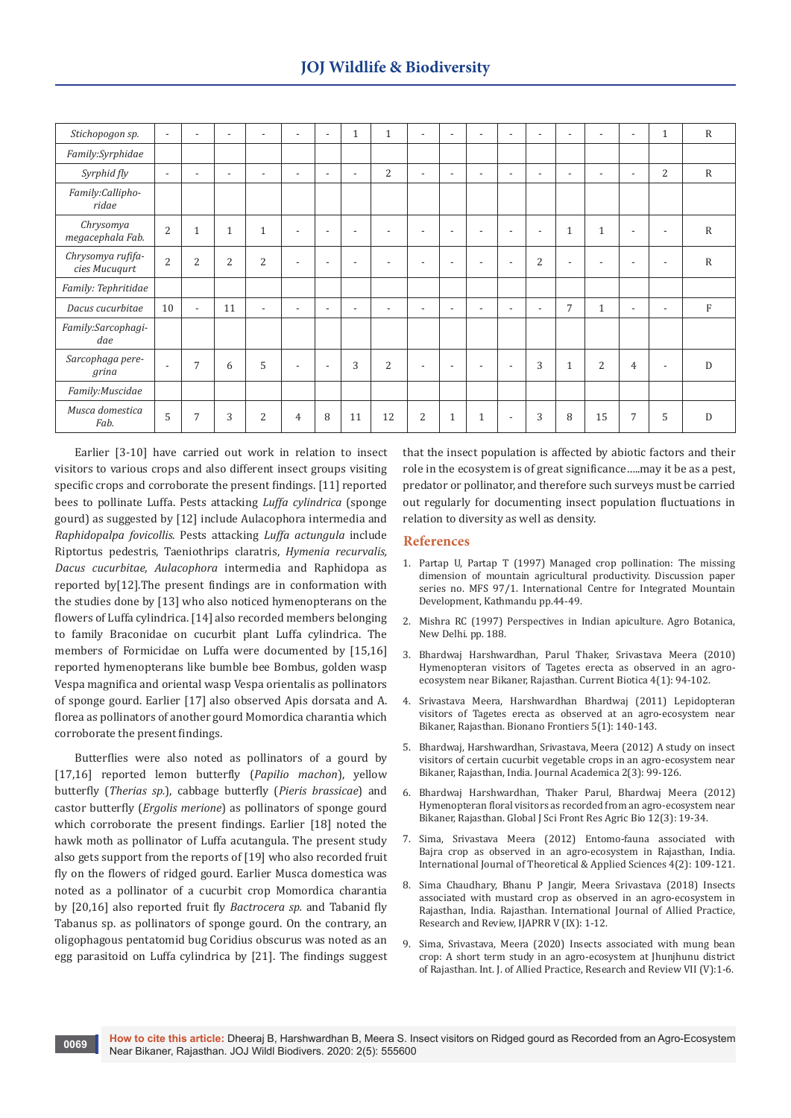| Stichopogon sp.                    | $\overline{\phantom{a}}$ | $\overline{\phantom{a}}$ | $\overline{\phantom{a}}$ | $\overline{a}$           | $\overline{\phantom{a}}$ | $\overline{\phantom{a}}$ | $\mathbf{1}$             | $\mathbf{1}$             | $\overline{\phantom{a}}$ | $\overline{a}$           | $\overline{\phantom{0}}$ | $\overline{\phantom{a}}$ | $\overline{\phantom{a}}$ | $\overline{\phantom{a}}$ | $\overline{\phantom{a}}$ | $\overline{\phantom{a}}$ | 1                        | $\mathbb{R}$ |
|------------------------------------|--------------------------|--------------------------|--------------------------|--------------------------|--------------------------|--------------------------|--------------------------|--------------------------|--------------------------|--------------------------|--------------------------|--------------------------|--------------------------|--------------------------|--------------------------|--------------------------|--------------------------|--------------|
| Family:Syrphidae                   |                          |                          |                          |                          |                          |                          |                          |                          |                          |                          |                          |                          |                          |                          |                          |                          |                          |              |
| Syrphid fly                        | $\overline{\phantom{a}}$ | $\overline{\phantom{a}}$ | $\overline{\phantom{a}}$ | $\overline{a}$           | $\overline{\phantom{a}}$ | $\overline{\phantom{a}}$ | $\overline{\phantom{a}}$ | 2                        | $\overline{\phantom{a}}$ | $\overline{\phantom{a}}$ | $\overline{\phantom{0}}$ | $\overline{\phantom{a}}$ | $\overline{\phantom{a}}$ | $\overline{\phantom{a}}$ | $\overline{\phantom{a}}$ | $\overline{\phantom{a}}$ | 2                        | $\mathbb{R}$ |
| Family:Callipho-<br>ridae          |                          |                          |                          |                          |                          |                          |                          |                          |                          |                          |                          |                          |                          |                          |                          |                          |                          |              |
| Chrysomya<br>megacephala Fab.      | $\overline{2}$           | $\mathbf{1}$             | $\mathbf{1}$             | $\mathbf{1}$             |                          |                          |                          |                          | $\overline{a}$           | $\overline{\phantom{a}}$ | $\overline{a}$           | $\overline{\phantom{a}}$ | $\overline{\phantom{a}}$ | $\mathbf{1}$             | $\mathbf{1}$             | $\overline{\phantom{a}}$ | $\overline{\phantom{a}}$ | ${\bf R}$    |
| Chrysomya rufifa-<br>cies Mucuqurt | $\overline{2}$           | 2                        | $\overline{2}$           | $\overline{2}$           | $\overline{\phantom{a}}$ | $\overline{\phantom{a}}$ | $\overline{\phantom{0}}$ | $\overline{\phantom{a}}$ | $\overline{\phantom{a}}$ | $\overline{\phantom{a}}$ | $\overline{\phantom{0}}$ | $\overline{\phantom{a}}$ | $\overline{2}$           | $\overline{\phantom{a}}$ | $\overline{\phantom{a}}$ | $\overline{\phantom{0}}$ | $\overline{\phantom{a}}$ | ${\bf R}$    |
| Family: Tephritidae                |                          |                          |                          |                          |                          |                          |                          |                          |                          |                          |                          |                          |                          |                          |                          |                          |                          |              |
| Dacus cucurbitae                   | 10                       | $\overline{\phantom{0}}$ | 11                       | $\overline{\phantom{a}}$ | $\overline{\phantom{a}}$ | $\overline{\phantom{a}}$ | $\overline{\phantom{a}}$ | $\overline{\phantom{a}}$ | $\overline{\phantom{a}}$ | $\overline{a}$           | $\overline{\phantom{0}}$ | $\overline{\phantom{a}}$ | $\overline{\phantom{a}}$ | 7                        | $\mathbf{1}$             | $\overline{\phantom{a}}$ | $\overline{\phantom{a}}$ | $\mathbf{F}$ |
| Family:Sarcophagi-<br>dae          |                          |                          |                          |                          |                          |                          |                          |                          |                          |                          |                          |                          |                          |                          |                          |                          |                          |              |
| Sarcophaga pere-<br>grina          | $\overline{\phantom{a}}$ | 7                        | 6                        | 5                        | $\overline{\phantom{a}}$ | $\overline{\phantom{a}}$ | 3                        | 2                        | $\overline{\phantom{a}}$ | $\overline{\phantom{a}}$ | $\overline{\phantom{0}}$ | $\overline{\phantom{a}}$ | 3                        | $\mathbf{1}$             | $\overline{2}$           | $\overline{4}$           | $\overline{\phantom{a}}$ | D            |
| Family: Muscidae                   |                          |                          |                          |                          |                          |                          |                          |                          |                          |                          |                          |                          |                          |                          |                          |                          |                          |              |
| Musca domestica<br>Fab.            | 5                        | 7                        | 3                        | $\overline{c}$           | $\overline{4}$           | 8                        | 11                       | 12                       | $\overline{2}$           | $\mathbf{1}$             |                          | $\overline{\phantom{a}}$ | 3                        | 8                        | 15                       | 7                        | 5                        | D            |

Earlier [3-10] have carried out work in relation to insect visitors to various crops and also different insect groups visiting specific crops and corroborate the present findings. [11] reported bees to pollinate Luffa. Pests attacking *Luffa cylindrica* (sponge gourd) as suggested by [12] include Aulacophora intermedia and *Raphidopalpa fovicollis*. Pests attacking *Luffa actungula* include Riptortus pedestris, Taeniothrips claratris, *Hymenia recurvalis, Dacus cucurbitae, Aulacophora* intermedia and Raphidopa as reported by[12].The present findings are in conformation with the studies done by [13] who also noticed hymenopterans on the flowers of Luffa cylindrica. [14] also recorded members belonging to family Braconidae on cucurbit plant Luffa cylindrica. The members of Formicidae on Luffa were documented by [15,16] reported hymenopterans like bumble bee Bombus, golden wasp Vespa magnifica and oriental wasp Vespa orientalis as pollinators of sponge gourd. Earlier [17] also observed Apis dorsata and A. florea as pollinators of another gourd Momordica charantia which corroborate the present findings.

Butterflies were also noted as pollinators of a gourd by [17,16] reported lemon butterfly (*Papilio machon*), yellow butterfly (*Therias sp.*), cabbage butterfly (*Pieris brassicae*) and castor butterfly (*Ergolis merione*) as pollinators of sponge gourd which corroborate the present findings. Earlier [18] noted the hawk moth as pollinator of Luffa acutangula. The present study also gets support from the reports of [19] who also recorded fruit fly on the flowers of ridged gourd. Earlier Musca domestica was noted as a pollinator of a cucurbit crop Momordica charantia by [20,16] also reported fruit fly *Bactrocera sp.* and Tabanid fly Tabanus sp. as pollinators of sponge gourd. On the contrary, an oligophagous pentatomid bug Coridius obscurus was noted as an egg parasitoid on Luffa cylindrica by [21]. The findings suggest

that the insect population is affected by abiotic factors and their role in the ecosystem is of great significance…..may it be as a pest, predator or pollinator, and therefore such surveys must be carried out regularly for documenting insect population fluctuations in relation to diversity as well as density.

#### **References**

- 1. Partap U, Partap T (1997) Managed crop pollination: The missing dimension of mountain agricultural productivity. Discussion paper series no. MFS 97/1. International Centre for Integrated Mountain Development, Kathmandu pp.44-49.
- 2. [Mishra RC \(1997\) Perspectives in Indian apiculture. Agro Botanica,](https://agris.fao.org/agris-search/search.do?recordID=US201300029744)  [New Delhi. pp. 188.](https://agris.fao.org/agris-search/search.do?recordID=US201300029744)
- 3. [Bhardwaj Harshwardhan, Parul Thaker, Srivastava Meera \(2010\)](https://www.cabdirect.org/cabdirect/abstract/20103309483)  [Hymenopteran visitors of Tagetes erecta as observed in an agro](https://www.cabdirect.org/cabdirect/abstract/20103309483)[ecosystem near Bikaner, Rajasthan. Current Biotica 4\(1\): 94-102.](https://www.cabdirect.org/cabdirect/abstract/20103309483)
- 4. Srivastava Meera, Harshwardhan Bhardwaj (2011) Lepidopteran visitors of Tagetes erecta as observed at an agro-ecosystem near Bikaner, Rajasthan. Bionano Frontiers 5(1): 140-143.
- 5. Bhardwaj, Harshwardhan, Srivastava, Meera (2012) A study on insect visitors of certain cucurbit vegetable crops in an agro-ecosystem near Bikaner, Rajasthan, India. Journal Academica 2(3): 99-126.
- 6. [Bhardwaj Harshwardhan, Thaker Parul, Bhardwaj Meera \(2012\)](https://globaljournals.org/item/328-hymenopteran-floral-visitors-as-recorded-from-an-agro-ecosystem-near-bikaner-rajasthan)  [Hymenopteran floral visitors as recorded from an agro-ecosystem near](https://globaljournals.org/item/328-hymenopteran-floral-visitors-as-recorded-from-an-agro-ecosystem-near-bikaner-rajasthan)  [Bikaner, Rajasthan. Global J Sci Front Res Agric Bio 12\(3\): 19-34.](https://globaljournals.org/item/328-hymenopteran-floral-visitors-as-recorded-from-an-agro-ecosystem-near-bikaner-rajasthan)
- 7. Sima, Srivastava Meera (2012) Entomo-fauna associated with Bajra crop as observed in an agro-ecosystem in Rajasthan, India. International Journal of Theoretical & Applied Sciences 4(2): 109-121.
- 8. [Sima Chaudhary, Bhanu P Jangir, Meera Srivastava \(2018\) Insects](http://www.ijaprr.com/download/issue/Volume_V/Issue_IX/225_Volume_V_Issue_IX_01%20-%2012_Sima_Chaudhary,.pdf)  [associated with mustard crop as observed in an agro-ecosystem in](http://www.ijaprr.com/download/issue/Volume_V/Issue_IX/225_Volume_V_Issue_IX_01%20-%2012_Sima_Chaudhary,.pdf)  [Rajasthan, India. Rajasthan. International Journal of Allied Practice,](http://www.ijaprr.com/download/issue/Volume_V/Issue_IX/225_Volume_V_Issue_IX_01%20-%2012_Sima_Chaudhary,.pdf)  [Research and Review, IJAPRR V \(IX\): 1-12.](http://www.ijaprr.com/download/issue/Volume_V/Issue_IX/225_Volume_V_Issue_IX_01%20-%2012_Sima_Chaudhary,.pdf)
- 9. [Sima, Srivastava, Meera \(2020\) Insects associated with mung bean](http://www.ijaprr.com/download/issue/Volume_VII/Issue_V/269_Volume_VII_Issue_V_01%20-%2006_Sima_and.pdf)  [crop: A short term study in an agro-ecosystem at Jhunjhunu district](http://www.ijaprr.com/download/issue/Volume_VII/Issue_V/269_Volume_VII_Issue_V_01%20-%2006_Sima_and.pdf)  [of Rajasthan. Int. J. of Allied Practice, Research and Review VII \(V\):1-6.](http://www.ijaprr.com/download/issue/Volume_VII/Issue_V/269_Volume_VII_Issue_V_01%20-%2006_Sima_and.pdf)